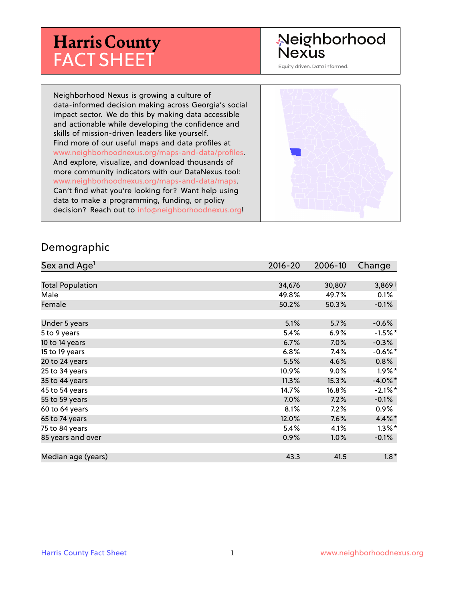# **Harris County** FACT SHEET

#### Neighborhood **Nexus**

Equity driven. Data informed.

Neighborhood Nexus is growing a culture of data-informed decision making across Georgia's social impact sector. We do this by making data accessible and actionable while developing the confidence and skills of mission-driven leaders like yourself. Find more of our useful maps and data profiles at www.neighborhoodnexus.org/maps-and-data/profiles. And explore, visualize, and download thousands of more community indicators with our DataNexus tool: www.neighborhoodnexus.org/maps-and-data/maps. Can't find what you're looking for? Want help using data to make a programming, funding, or policy decision? Reach out to [info@neighborhoodnexus.org!](mailto:info@neighborhoodnexus.org)



#### Demographic

| Sex and Age <sup>1</sup> | $2016 - 20$ | 2006-10 | Change     |
|--------------------------|-------------|---------|------------|
|                          |             |         |            |
| <b>Total Population</b>  | 34,676      | 30,807  | $3,869+$   |
| Male                     | 49.8%       | 49.7%   | 0.1%       |
| Female                   | 50.2%       | 50.3%   | $-0.1\%$   |
|                          |             |         |            |
| Under 5 years            | 5.1%        | 5.7%    | $-0.6%$    |
| 5 to 9 years             | $5.4\%$     | 6.9%    | $-1.5\%$ * |
| 10 to 14 years           | 6.7%        | 7.0%    | $-0.3%$    |
| 15 to 19 years           | 6.8%        | 7.4%    | $-0.6%$ *  |
| 20 to 24 years           | 5.5%        | 4.6%    | 0.8%       |
| 25 to 34 years           | 10.9%       | $9.0\%$ | $1.9\%$ *  |
| 35 to 44 years           | 11.3%       | 15.3%   | $-4.0\%$ * |
| 45 to 54 years           | 14.7%       | 16.8%   | $-2.1\%$ * |
| 55 to 59 years           | 7.0%        | 7.2%    | $-0.1\%$   |
| 60 to 64 years           | 8.1%        | 7.2%    | $0.9\%$    |
| 65 to 74 years           | 12.0%       | $7.6\%$ | $4.4\%$ *  |
| 75 to 84 years           | 5.4%        | 4.1%    | $1.3\%$ *  |
| 85 years and over        | 0.9%        | 1.0%    | $-0.1\%$   |
|                          |             |         |            |
| Median age (years)       | 43.3        | 41.5    | $1.8*$     |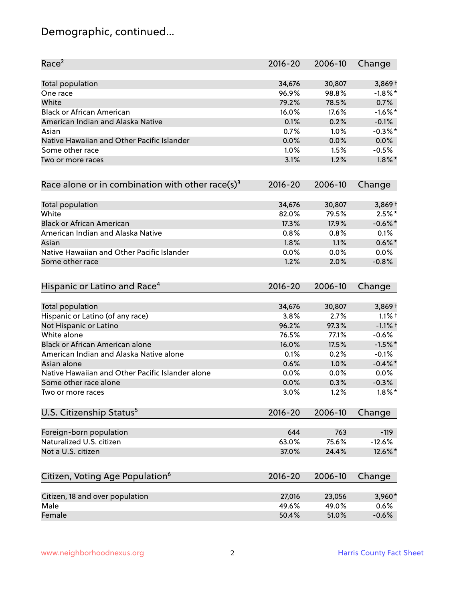## Demographic, continued...

| Race <sup>2</sup>                                   | $2016 - 20$ | 2006-10 | Change     |
|-----------------------------------------------------|-------------|---------|------------|
| <b>Total population</b>                             | 34,676      | 30,807  | $3,869+$   |
| One race                                            | 96.9%       | 98.8%   | $-1.8\%$ * |
| White                                               | 79.2%       | 78.5%   | 0.7%       |
| <b>Black or African American</b>                    | 16.0%       | 17.6%   | $-1.6\%$ * |
| American Indian and Alaska Native                   | 0.1%        | 0.2%    | $-0.1%$    |
| Asian                                               | 0.7%        | $1.0\%$ | $-0.3\%$ * |
| Native Hawaiian and Other Pacific Islander          | 0.0%        | 0.0%    | 0.0%       |
| Some other race                                     | 1.0%        | 1.5%    | $-0.5%$    |
| Two or more races                                   | 3.1%        | 1.2%    | $1.8\%$ *  |
| Race alone or in combination with other race(s) $3$ | $2016 - 20$ | 2006-10 | Change     |
| Total population                                    | 34,676      | 30,807  | $3,869+$   |
| White                                               | 82.0%       | 79.5%   | $2.5%$ *   |
| <b>Black or African American</b>                    | 17.3%       | 17.9%   | $-0.6\%$ * |
| American Indian and Alaska Native                   | 0.8%        | 0.8%    | 0.1%       |
| Asian                                               | 1.8%        | 1.1%    | $0.6\%$ *  |
| Native Hawaiian and Other Pacific Islander          | 0.0%        | 0.0%    | 0.0%       |
| Some other race                                     | 1.2%        | 2.0%    | $-0.8%$    |
| Hispanic or Latino and Race <sup>4</sup>            | $2016 - 20$ | 2006-10 | Change     |
| Total population                                    | 34,676      | 30,807  | $3,869+$   |
| Hispanic or Latino (of any race)                    | 3.8%        | 2.7%    | $1.1%$ †   |
| Not Hispanic or Latino                              | 96.2%       | 97.3%   | $-1.1%$ +  |
| White alone                                         | 76.5%       | 77.1%   | $-0.6%$    |
| Black or African American alone                     | 16.0%       | 17.5%   | $-1.5%$ *  |
| American Indian and Alaska Native alone             | 0.1%        | 0.2%    | $-0.1%$    |
| Asian alone                                         | 0.6%        | 1.0%    | $-0.4\%$ * |
| Native Hawaiian and Other Pacific Islander alone    | 0.0%        | 0.0%    | 0.0%       |
| Some other race alone                               | 0.0%        | 0.3%    | $-0.3%$    |
| Two or more races                                   | 3.0%        | 1.2%    | $1.8\%$ *  |
| U.S. Citizenship Status <sup>5</sup>                | $2016 - 20$ | 2006-10 | Change     |
| Foreign-born population                             | 644         | 763     | $-119$     |
| Naturalized U.S. citizen                            | 63.0%       | 75.6%   | $-12.6%$   |
| Not a U.S. citizen                                  | 37.0%       | 24.4%   | 12.6%*     |
| Citizen, Voting Age Population <sup>6</sup>         | $2016 - 20$ | 2006-10 | Change     |
|                                                     |             |         |            |
| Citizen, 18 and over population                     | 27,016      | 23,056  | 3,960*     |
| Male                                                | 49.6%       | 49.0%   | 0.6%       |
| Female                                              | 50.4%       | 51.0%   | $-0.6%$    |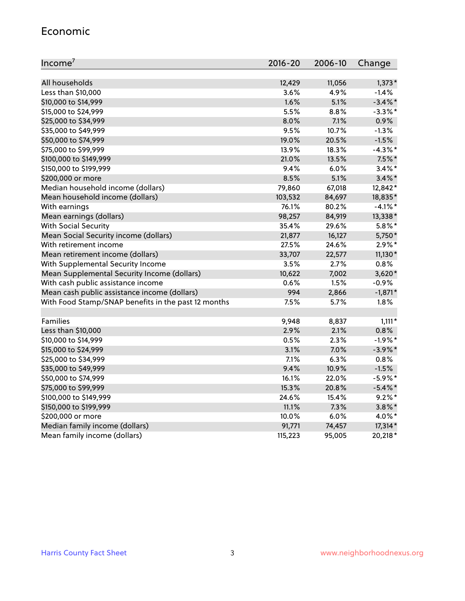#### Economic

| Income <sup>7</sup>                                 | 2016-20 | 2006-10 | Change     |
|-----------------------------------------------------|---------|---------|------------|
|                                                     |         |         |            |
| All households                                      | 12,429  | 11,056  | $1,373*$   |
| Less than \$10,000                                  | 3.6%    | 4.9%    | $-1.4%$    |
| \$10,000 to \$14,999                                | 1.6%    | 5.1%    | $-3.4\%$ * |
| \$15,000 to \$24,999                                | 5.5%    | 8.8%    | $-3.3\%$ * |
| \$25,000 to \$34,999                                | 8.0%    | 7.1%    | 0.9%       |
| \$35,000 to \$49,999                                | 9.5%    | 10.7%   | $-1.3%$    |
| \$50,000 to \$74,999                                | 19.0%   | 20.5%   | $-1.5%$    |
| \$75,000 to \$99,999                                | 13.9%   | 18.3%   | $-4.3\%$ * |
| \$100,000 to \$149,999                              | 21.0%   | 13.5%   | $7.5\%$ *  |
| \$150,000 to \$199,999                              | 9.4%    | 6.0%    | $3.4\%$ *  |
| \$200,000 or more                                   | 8.5%    | 5.1%    | $3.4\%$ *  |
| Median household income (dollars)                   | 79,860  | 67,018  | 12,842*    |
| Mean household income (dollars)                     | 103,532 | 84,697  | 18,835*    |
| With earnings                                       | 76.1%   | 80.2%   | $-4.1%$ *  |
| Mean earnings (dollars)                             | 98,257  | 84,919  | 13,338*    |
| <b>With Social Security</b>                         | 35.4%   | 29.6%   | $5.8\%$ *  |
| Mean Social Security income (dollars)               | 21,877  | 16,127  | 5,750*     |
| With retirement income                              | 27.5%   | 24.6%   | $2.9\%*$   |
| Mean retirement income (dollars)                    | 33,707  | 22,577  | $11,130*$  |
| With Supplemental Security Income                   | 3.5%    | 2.7%    | 0.8%       |
| Mean Supplemental Security Income (dollars)         | 10,622  | 7,002   | $3,620*$   |
| With cash public assistance income                  | 0.6%    | 1.5%    | $-0.9%$    |
| Mean cash public assistance income (dollars)        | 994     | 2,866   | $-1,871*$  |
| With Food Stamp/SNAP benefits in the past 12 months | 7.5%    | 5.7%    | 1.8%       |
|                                                     |         |         |            |
| Families                                            | 9,948   | 8,837   | $1,111*$   |
| Less than \$10,000                                  | 2.9%    | 2.1%    | 0.8%       |
| \$10,000 to \$14,999                                | 0.5%    | 2.3%    | $-1.9%$ *  |
| \$15,000 to \$24,999                                | 3.1%    | 7.0%    | $-3.9\%$ * |
| \$25,000 to \$34,999                                | 7.1%    | 6.3%    | 0.8%       |
| \$35,000 to \$49,999                                | 9.4%    | 10.9%   | $-1.5%$    |
| \$50,000 to \$74,999                                | 16.1%   | 22.0%   | $-5.9\%$ * |
| \$75,000 to \$99,999                                | 15.3%   | 20.8%   | $-5.4\%$ * |
| \$100,000 to \$149,999                              | 24.6%   | 15.4%   | $9.2%$ *   |
| \$150,000 to \$199,999                              | 11.1%   | 7.3%    | $3.8\%$ *  |
| \$200,000 or more                                   | 10.0%   | 6.0%    | 4.0%*      |
| Median family income (dollars)                      | 91,771  | 74,457  | 17,314*    |
| Mean family income (dollars)                        | 115,223 | 95,005  | 20,218*    |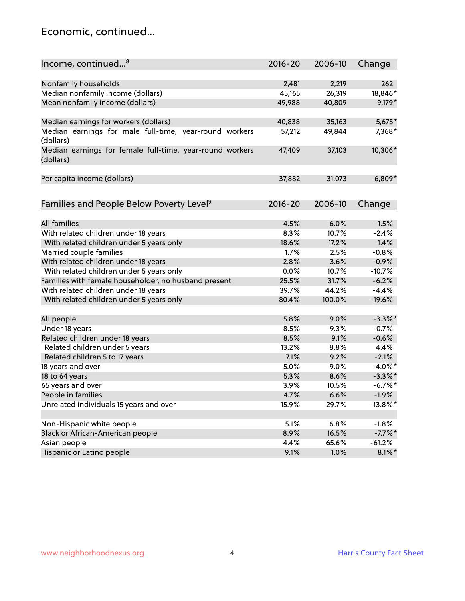#### Economic, continued...

| Income, continued <sup>8</sup>                           | 2016-20 | 2006-10 | Change      |
|----------------------------------------------------------|---------|---------|-------------|
|                                                          |         |         |             |
| Nonfamily households                                     | 2,481   | 2,219   | 262         |
| Median nonfamily income (dollars)                        | 45,165  | 26,319  | 18,846*     |
| Mean nonfamily income (dollars)                          | 49,988  | 40,809  | $9,179*$    |
|                                                          |         |         |             |
| Median earnings for workers (dollars)                    | 40,838  | 35,163  | 5,675*      |
| Median earnings for male full-time, year-round workers   | 57,212  | 49,844  | 7,368*      |
| (dollars)                                                |         |         |             |
| Median earnings for female full-time, year-round workers | 47,409  | 37,103  | 10,306*     |
| (dollars)                                                |         |         |             |
|                                                          |         |         |             |
| Per capita income (dollars)                              | 37,882  | 31,073  | $6,809*$    |
|                                                          |         |         |             |
| Families and People Below Poverty Level <sup>9</sup>     | 2016-20 | 2006-10 | Change      |
|                                                          |         |         |             |
| <b>All families</b>                                      | 4.5%    | 6.0%    | $-1.5%$     |
| With related children under 18 years                     | 8.3%    | 10.7%   | $-2.4%$     |
| With related children under 5 years only                 | 18.6%   | 17.2%   | 1.4%        |
| Married couple families                                  | 1.7%    | 2.5%    | $-0.8%$     |
| With related children under 18 years                     | 2.8%    | 3.6%    | $-0.9%$     |
| With related children under 5 years only                 | 0.0%    | 10.7%   | $-10.7%$    |
| Families with female householder, no husband present     | 25.5%   | 31.7%   | $-6.2%$     |
| With related children under 18 years                     | 39.7%   | 44.2%   | $-4.4%$     |
| With related children under 5 years only                 | 80.4%   | 100.0%  | $-19.6%$    |
|                                                          |         |         |             |
| All people                                               | 5.8%    | 9.0%    | $-3.3\%$ *  |
| Under 18 years                                           | 8.5%    | 9.3%    | $-0.7%$     |
| Related children under 18 years                          | 8.5%    | 9.1%    | $-0.6%$     |
| Related children under 5 years                           | 13.2%   | 8.8%    | 4.4%        |
| Related children 5 to 17 years                           | 7.1%    | 9.2%    | $-2.1%$     |
| 18 years and over                                        | 5.0%    | 9.0%    | $-4.0\%$ *  |
| 18 to 64 years                                           | 5.3%    | 8.6%    | $-3.3\%$ *  |
| 65 years and over                                        | 3.9%    | 10.5%   | $-6.7\%$ *  |
| People in families                                       | 4.7%    | 6.6%    | $-1.9%$     |
| Unrelated individuals 15 years and over                  | 15.9%   | 29.7%   | $-13.8\%$ * |
|                                                          |         |         |             |
| Non-Hispanic white people                                | 5.1%    | 6.8%    | $-1.8%$     |
| Black or African-American people                         | 8.9%    | 16.5%   | $-7.7%$ *   |
| Asian people                                             | 4.4%    | 65.6%   | $-61.2%$    |
| Hispanic or Latino people                                | 9.1%    | 1.0%    | $8.1\%$ *   |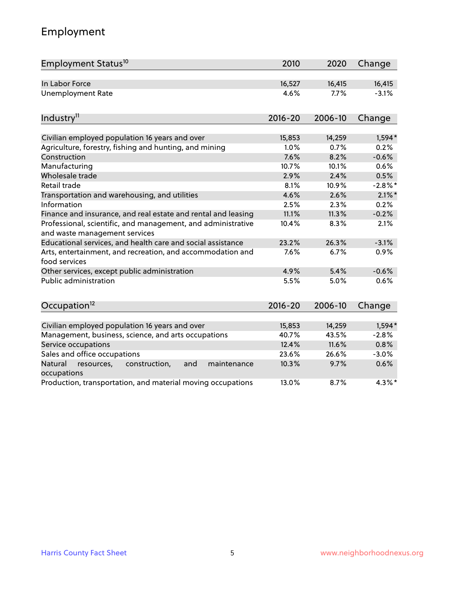## Employment

| Employment Status <sup>10</sup>                                                                          | 2010           | 2020           | Change           |
|----------------------------------------------------------------------------------------------------------|----------------|----------------|------------------|
| In Labor Force                                                                                           | 16,527         | 16,415         | 16,415           |
| <b>Unemployment Rate</b>                                                                                 | 4.6%           | 7.7%           | $-3.1%$          |
| Industry <sup>11</sup>                                                                                   | $2016 - 20$    | 2006-10        | Change           |
|                                                                                                          |                |                |                  |
| Civilian employed population 16 years and over<br>Agriculture, forestry, fishing and hunting, and mining | 15,853<br>1.0% | 14,259<br>0.7% | $1,594*$<br>0.2% |
| Construction                                                                                             | 7.6%           | 8.2%           | $-0.6%$          |
| Manufacturing                                                                                            | 10.7%          | 10.1%          | 0.6%             |
| Wholesale trade                                                                                          | 2.9%           | 2.4%           | 0.5%             |
| Retail trade                                                                                             | 8.1%           | 10.9%          | $-2.8\%$ *       |
| Transportation and warehousing, and utilities                                                            | 4.6%           | 2.6%           | $2.1\%$ *        |
| Information                                                                                              | 2.5%           | 2.3%           | 0.2%             |
| Finance and insurance, and real estate and rental and leasing                                            | 11.1%          | 11.3%          | $-0.2%$          |
| Professional, scientific, and management, and administrative<br>and waste management services            | 10.4%          | 8.3%           | 2.1%             |
| Educational services, and health care and social assistance                                              | 23.2%          | 26.3%          | $-3.1%$          |
| Arts, entertainment, and recreation, and accommodation and<br>food services                              | 7.6%           | 6.7%           | 0.9%             |
| Other services, except public administration                                                             | 4.9%           | 5.4%           | $-0.6%$          |
| Public administration                                                                                    | 5.5%           | 5.0%           | 0.6%             |
| Occupation <sup>12</sup>                                                                                 | $2016 - 20$    | 2006-10        | Change           |
|                                                                                                          |                |                |                  |
| Civilian employed population 16 years and over                                                           | 15,853         | 14,259         | 1,594*           |
| Management, business, science, and arts occupations                                                      | 40.7%          | 43.5%          | $-2.8%$          |
| Service occupations                                                                                      | 12.4%          | 11.6%          | 0.8%             |
| Sales and office occupations                                                                             | 23.6%          | 26.6%          | $-3.0%$          |
| Natural<br>construction,<br>and<br>resources,<br>maintenance<br>occupations                              | 10.3%          | 9.7%           | 0.6%             |
| Production, transportation, and material moving occupations                                              | 13.0%          | 8.7%           | $4.3\%$ *        |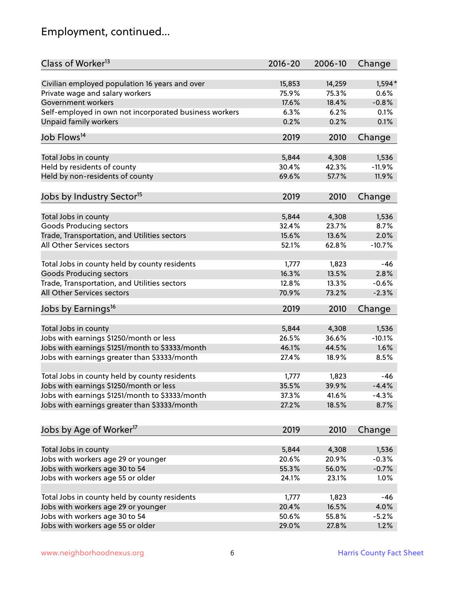## Employment, continued...

| Class of Worker <sup>13</sup>                                   | $2016 - 20$    | 2006-10        | Change            |
|-----------------------------------------------------------------|----------------|----------------|-------------------|
| Civilian employed population 16 years and over                  | 15,853         | 14,259         | $1,594*$          |
| Private wage and salary workers                                 | 75.9%          | 75.3%          | 0.6%              |
| Government workers                                              | 17.6%          | 18.4%          | $-0.8%$           |
| Self-employed in own not incorporated business workers          | 6.3%           | 6.2%           | 0.1%              |
| Unpaid family workers                                           | 0.2%           | 0.2%           | 0.1%              |
| Job Flows <sup>14</sup>                                         | 2019           | 2010           | Change            |
|                                                                 |                |                |                   |
| Total Jobs in county                                            | 5,844          | 4,308          | 1,536             |
| Held by residents of county                                     | 30.4%          | 42.3%          | $-11.9%$          |
| Held by non-residents of county                                 | 69.6%          | 57.7%          | 11.9%             |
| Jobs by Industry Sector <sup>15</sup>                           | 2019           | 2010           | Change            |
| Total Jobs in county                                            | 5,844          | 4,308          | 1,536             |
| Goods Producing sectors                                         | 32.4%          | 23.7%          | 8.7%              |
| Trade, Transportation, and Utilities sectors                    | 15.6%          | 13.6%          | 2.0%              |
| All Other Services sectors                                      | 52.1%          | 62.8%          | $-10.7%$          |
|                                                                 |                |                |                   |
| Total Jobs in county held by county residents                   | 1,777          | 1,823          | $-46$             |
| <b>Goods Producing sectors</b>                                  | 16.3%          | 13.5%          | 2.8%              |
| Trade, Transportation, and Utilities sectors                    | 12.8%          | 13.3%          | $-0.6%$           |
| All Other Services sectors                                      | 70.9%          | 73.2%          | $-2.3%$           |
| Jobs by Earnings <sup>16</sup>                                  | 2019           | 2010           | Change            |
|                                                                 |                |                |                   |
| Total Jobs in county<br>Jobs with earnings \$1250/month or less | 5,844<br>26.5% | 4,308<br>36.6% | 1,536<br>$-10.1%$ |
| Jobs with earnings \$1251/month to \$3333/month                 | 46.1%          | 44.5%          | 1.6%              |
|                                                                 |                |                |                   |
| Jobs with earnings greater than \$3333/month                    | 27.4%          | 18.9%          | 8.5%              |
| Total Jobs in county held by county residents                   | 1,777          | 1,823          | -46               |
| Jobs with earnings \$1250/month or less                         | 35.5%          | 39.9%          | $-4.4%$           |
| Jobs with earnings \$1251/month to \$3333/month                 | 37.3%          | 41.6%          | $-4.3\%$          |
| Jobs with earnings greater than \$3333/month                    | 27.2%          | 18.5%          | 8.7%              |
|                                                                 |                |                |                   |
| Jobs by Age of Worker <sup>17</sup>                             | 2019           | 2010           | Change            |
| Total Jobs in county                                            | 5,844          | 4,308          | 1,536             |
| Jobs with workers age 29 or younger                             | 20.6%          | 20.9%          | $-0.3%$           |
| Jobs with workers age 30 to 54                                  | 55.3%          | 56.0%          | $-0.7%$           |
| Jobs with workers age 55 or older                               | 24.1%          | 23.1%          | 1.0%              |
|                                                                 |                |                |                   |
| Total Jobs in county held by county residents                   | 1,777          | 1,823          | -46               |
| Jobs with workers age 29 or younger                             | 20.4%          | 16.5%          | 4.0%              |
| Jobs with workers age 30 to 54                                  | 50.6%          | 55.8%          | $-5.2%$           |
| Jobs with workers age 55 or older                               | 29.0%          | 27.8%          | 1.2%              |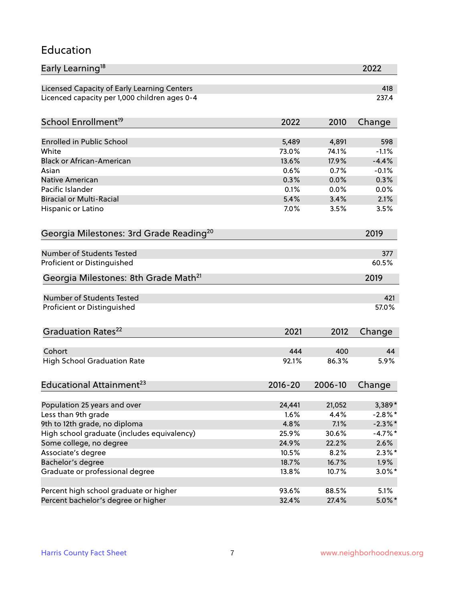#### Education

| Early Learning <sup>18</sup>                        |             |         | 2022       |
|-----------------------------------------------------|-------------|---------|------------|
| Licensed Capacity of Early Learning Centers         |             |         | 418        |
| Licenced capacity per 1,000 children ages 0-4       |             |         | 237.4      |
| School Enrollment <sup>19</sup>                     | 2022        | 2010    | Change     |
|                                                     |             |         |            |
| <b>Enrolled in Public School</b>                    | 5,489       | 4,891   | 598        |
| White                                               | 73.0%       | 74.1%   | $-1.1%$    |
| <b>Black or African-American</b>                    | 13.6%       | 17.9%   | $-4.4%$    |
| Asian                                               | 0.6%        | 0.7%    | $-0.1%$    |
| Native American                                     | 0.3%        | 0.0%    | 0.3%       |
| Pacific Islander                                    | 0.1%        | 0.0%    | 0.0%       |
| <b>Biracial or Multi-Racial</b>                     | 5.4%        | 3.4%    | 2.1%       |
| Hispanic or Latino                                  | 7.0%        | 3.5%    | 3.5%       |
| Georgia Milestones: 3rd Grade Reading <sup>20</sup> |             |         | 2019       |
| <b>Number of Students Tested</b>                    |             |         |            |
|                                                     |             |         | 377        |
| Proficient or Distinguished                         |             |         | 60.5%      |
| Georgia Milestones: 8th Grade Math <sup>21</sup>    |             |         | 2019       |
| <b>Number of Students Tested</b>                    |             |         | 421        |
| Proficient or Distinguished                         |             |         | 57.0%      |
| Graduation Rates <sup>22</sup>                      | 2021        | 2012    | Change     |
|                                                     |             |         |            |
| Cohort                                              | 444         | 400     | 44         |
| <b>High School Graduation Rate</b>                  | 92.1%       | 86.3%   | 5.9%       |
| Educational Attainment <sup>23</sup>                | $2016 - 20$ | 2006-10 | Change     |
| Population 25 years and over                        | 24,441      | 21,052  | 3,389*     |
| Less than 9th grade                                 | 1.6%        | 4.4%    | $-2.8\%$ * |
| 9th to 12th grade, no diploma                       | 4.8%        | 7.1%    | $-2.3\%$ * |
| High school graduate (includes equivalency)         | 25.9%       | 30.6%   | $-4.7\%$ * |
| Some college, no degree                             | 24.9%       | 22.2%   | 2.6%       |
| Associate's degree                                  | 10.5%       | 8.2%    | $2.3\%*$   |
| Bachelor's degree                                   | 18.7%       | 16.7%   | $1.9\%$    |
| Graduate or professional degree                     | 13.8%       | 10.7%   |            |
|                                                     |             |         | $3.0\%$ *  |
| Percent high school graduate or higher              | 93.6%       | 88.5%   | 5.1%       |
| Percent bachelor's degree or higher                 | 32.4%       | 27.4%   | $5.0\%$ *  |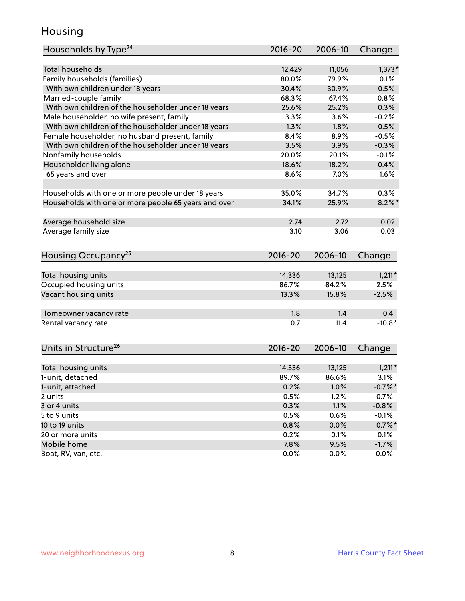#### Housing

| Households by Type <sup>24</sup>                     | 2016-20      | 2006-10      | Change                |
|------------------------------------------------------|--------------|--------------|-----------------------|
|                                                      |              |              |                       |
| <b>Total households</b>                              | 12,429       | 11,056       | $1,373*$              |
| Family households (families)                         | 80.0%        | 79.9%        | 0.1%                  |
| With own children under 18 years                     | 30.4%        | 30.9%        | $-0.5%$               |
| Married-couple family                                | 68.3%        | 67.4%        | 0.8%                  |
| With own children of the householder under 18 years  | 25.6%        | 25.2%        | 0.3%                  |
| Male householder, no wife present, family            | 3.3%         | 3.6%         | $-0.2%$               |
| With own children of the householder under 18 years  | 1.3%         | 1.8%         | $-0.5%$               |
| Female householder, no husband present, family       | 8.4%         | 8.9%         | $-0.5%$               |
| With own children of the householder under 18 years  | 3.5%         | 3.9%         | $-0.3%$               |
| Nonfamily households                                 | 20.0%        | 20.1%        | $-0.1%$               |
| Householder living alone                             | 18.6%        | 18.2%        | 0.4%                  |
| 65 years and over                                    | 8.6%         | 7.0%         | 1.6%                  |
|                                                      |              |              |                       |
| Households with one or more people under 18 years    | 35.0%        | 34.7%        | 0.3%                  |
| Households with one or more people 65 years and over | 34.1%        | 25.9%        | $8.2\%$ *             |
| Average household size                               | 2.74         | 2.72         | 0.02                  |
| Average family size                                  | 3.10         | 3.06         | 0.03                  |
|                                                      |              |              |                       |
| Housing Occupancy <sup>25</sup>                      | 2016-20      | 2006-10      | Change                |
|                                                      |              |              |                       |
| Total housing units                                  | 14,336       | 13,125       | $1,211*$              |
| Occupied housing units                               | 86.7%        | 84.2%        | 2.5%                  |
| Vacant housing units                                 | 13.3%        | 15.8%        | $-2.5%$               |
| Homeowner vacancy rate                               | 1.8          | 1.4          | 0.4                   |
| Rental vacancy rate                                  | 0.7          | 11.4         | $-10.8*$              |
|                                                      |              |              |                       |
| Units in Structure <sup>26</sup>                     | 2016-20      | 2006-10      | Change                |
| Total housing units                                  | 14,336       | 13,125       | $1,211*$              |
| 1-unit, detached                                     | 89.7%        | 86.6%        | 3.1%                  |
|                                                      |              |              |                       |
| 1-unit, attached<br>2 units                          | 0.2%<br>0.5% | 1.0%<br>1.2% | $-0.7\%$ *<br>$-0.7%$ |
| 3 or 4 units                                         | 0.3%         | 1.1%         | $-0.8%$               |
| 5 to 9 units                                         |              | 0.6%         |                       |
|                                                      | 0.5%         |              | $-0.1%$               |
| 10 to 19 units                                       | 0.8%         | 0.0%         | $0.7\%$ *             |
| 20 or more units                                     | 0.2%         | 0.1%         | 0.1%                  |
| Mobile home                                          | 7.8%         | 9.5%         | $-1.7%$               |
| Boat, RV, van, etc.                                  | 0.0%         | $0.0\%$      | $0.0\%$               |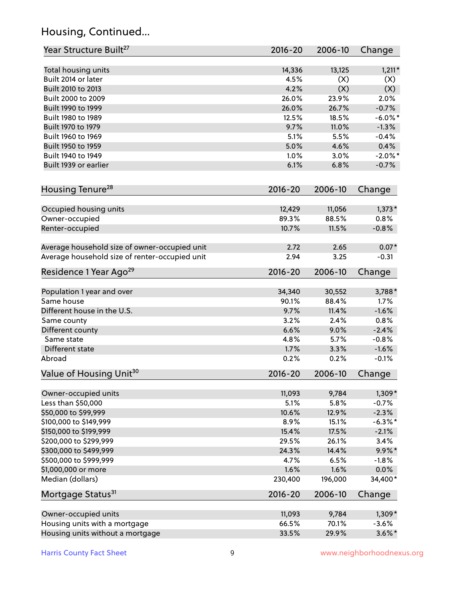## Housing, Continued...

| Year Structure Built <sup>27</sup>             | 2016-20      | 2006-10 | Change         |
|------------------------------------------------|--------------|---------|----------------|
| Total housing units                            | 14,336       | 13,125  | $1,211*$       |
| Built 2014 or later                            | 4.5%         | (X)     | (X)            |
| Built 2010 to 2013                             | 4.2%         | (X)     | (X)            |
| Built 2000 to 2009                             | 26.0%        | 23.9%   | 2.0%           |
|                                                | 26.0%        | 26.7%   |                |
| Built 1990 to 1999                             | 12.5%        |         | $-0.7%$        |
| Built 1980 to 1989                             |              | 18.5%   | $-6.0\%$ *     |
| Built 1970 to 1979                             | 9.7%         | 11.0%   | $-1.3%$        |
| Built 1960 to 1969                             | 5.1%         | 5.5%    | $-0.4%$        |
| Built 1950 to 1959                             | 5.0%         | 4.6%    | 0.4%           |
| Built 1940 to 1949                             | 1.0%         | 3.0%    | $-2.0\%$ *     |
| Built 1939 or earlier                          | 6.1%         | 6.8%    | $-0.7%$        |
| Housing Tenure <sup>28</sup>                   | $2016 - 20$  | 2006-10 | Change         |
| Occupied housing units                         | 12,429       | 11,056  | $1,373*$       |
| Owner-occupied                                 | 89.3%        | 88.5%   | 0.8%           |
| Renter-occupied                                | 10.7%        | 11.5%   | $-0.8%$        |
| Average household size of owner-occupied unit  | 2.72         | 2.65    | $0.07*$        |
| Average household size of renter-occupied unit | 2.94         | 3.25    | $-0.31$        |
| Residence 1 Year Ago <sup>29</sup>             | 2016-20      | 2006-10 | Change         |
|                                                | 34,340       | 30,552  |                |
| Population 1 year and over<br>Same house       | 90.1%        | 88.4%   | 3,788*<br>1.7% |
| Different house in the U.S.                    |              | 11.4%   | $-1.6%$        |
|                                                | 9.7%         | 2.4%    | 0.8%           |
| Same county                                    | 3.2%<br>6.6% |         |                |
| Different county<br>Same state                 | 4.8%         | 9.0%    | $-2.4%$        |
|                                                |              | 5.7%    | $-0.8%$        |
| Different state                                | 1.7%         | 3.3%    | $-1.6%$        |
| Abroad                                         | 0.2%         | 0.2%    | $-0.1%$        |
| Value of Housing Unit <sup>30</sup>            | 2016-20      | 2006-10 | Change         |
| Owner-occupied units                           | 11,093       | 9,784   | $1,309*$       |
| Less than \$50,000                             | 5.1%         | 5.8%    | $-0.7%$        |
| \$50,000 to \$99,999                           | 10.6%        | 12.9%   | $-2.3%$        |
| \$100,000 to \$149,999                         | 8.9%         | 15.1%   | $-6.3\%$ *     |
| \$150,000 to \$199,999                         | 15.4%        | 17.5%   | $-2.1%$        |
| \$200,000 to \$299,999                         | 29.5%        | 26.1%   | 3.4%           |
| \$300,000 to \$499,999                         | 24.3%        | 14.4%   | $9.9\% *$      |
| \$500,000 to \$999,999                         | 4.7%         | 6.5%    | $-1.8%$        |
| \$1,000,000 or more                            | 1.6%         | 1.6%    | 0.0%           |
| Median (dollars)                               | 230,400      | 196,000 | 34,400*        |
| Mortgage Status <sup>31</sup>                  | $2016 - 20$  | 2006-10 | Change         |
| Owner-occupied units                           | 11,093       | 9,784   | 1,309*         |
| Housing units with a mortgage                  | 66.5%        | 70.1%   | $-3.6%$        |
| Housing units without a mortgage               | 33.5%        | 29.9%   | $3.6\%$ *      |
|                                                |              |         |                |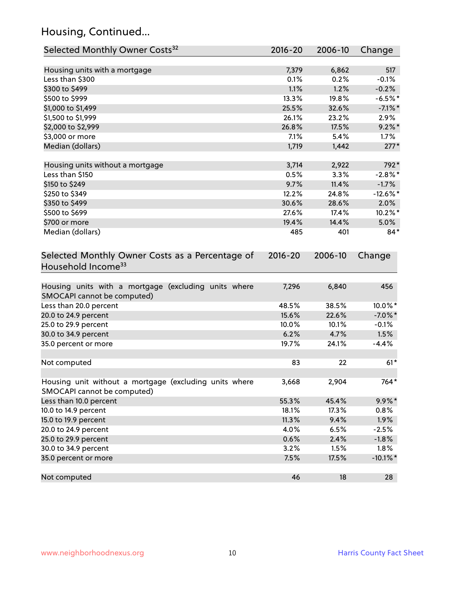## Housing, Continued...

| Selected Monthly Owner Costs <sup>32</sup>                                            | 2016-20     | 2006-10 | Change      |
|---------------------------------------------------------------------------------------|-------------|---------|-------------|
| Housing units with a mortgage                                                         | 7,379       | 6,862   | 517         |
| Less than \$300                                                                       | 0.1%        | 0.2%    | $-0.1%$     |
| \$300 to \$499                                                                        | 1.1%        | 1.2%    | $-0.2%$     |
| \$500 to \$999                                                                        | 13.3%       | 19.8%   | $-6.5%$ *   |
| \$1,000 to \$1,499                                                                    | 25.5%       | 32.6%   | $-7.1\%$ *  |
| \$1,500 to \$1,999                                                                    | 26.1%       | 23.2%   | 2.9%        |
| \$2,000 to \$2,999                                                                    | 26.8%       | 17.5%   | $9.2\%$ *   |
| \$3,000 or more                                                                       | 7.1%        | 5.4%    | 1.7%        |
| Median (dollars)                                                                      | 1,719       | 1,442   | $277*$      |
| Housing units without a mortgage                                                      | 3,714       | 2,922   | 792*        |
| Less than \$150                                                                       | 0.5%        | 3.3%    | $-2.8\%$ *  |
| \$150 to \$249                                                                        | 9.7%        | 11.4%   | $-1.7%$     |
| \$250 to \$349                                                                        | 12.2%       | 24.8%   | $-12.6%$ *  |
| \$350 to \$499                                                                        | 30.6%       | 28.6%   | 2.0%        |
| \$500 to \$699                                                                        | 27.6%       | 17.4%   | 10.2%*      |
| \$700 or more                                                                         | 19.4%       | 14.4%   | 5.0%        |
| Median (dollars)                                                                      | 485         | 401     | $84*$       |
| Selected Monthly Owner Costs as a Percentage of<br>Household Income <sup>33</sup>     | $2016 - 20$ | 2006-10 | Change      |
| Housing units with a mortgage (excluding units where<br>SMOCAPI cannot be computed)   | 7,296       | 6,840   | 456         |
| Less than 20.0 percent                                                                | 48.5%       | 38.5%   | 10.0%*      |
| 20.0 to 24.9 percent                                                                  | 15.6%       | 22.6%   | $-7.0\%$ *  |
| 25.0 to 29.9 percent                                                                  | 10.0%       | 10.1%   | $-0.1%$     |
| 30.0 to 34.9 percent                                                                  | 6.2%        | 4.7%    | 1.5%        |
| 35.0 percent or more                                                                  | 19.7%       | 24.1%   | $-4.4%$     |
| Not computed                                                                          | 83          | 22      | $61*$       |
| Housing unit without a mortgage (excluding units where<br>SMOCAPI cannot be computed) | 3,668       | 2,904   | 764*        |
| Less than 10.0 percent                                                                | 55.3%       | 45.4%   | $9.9\% *$   |
| 10.0 to 14.9 percent                                                                  | 18.1%       | 17.3%   | 0.8%        |
| 15.0 to 19.9 percent                                                                  | 11.3%       | 9.4%    | 1.9%        |
| 20.0 to 24.9 percent                                                                  | 4.0%        | 6.5%    | $-2.5%$     |
| 25.0 to 29.9 percent                                                                  | 0.6%        | 2.4%    | $-1.8%$     |
| 30.0 to 34.9 percent                                                                  | 3.2%        | 1.5%    | 1.8%        |
| 35.0 percent or more                                                                  | 7.5%        | 17.5%   | $-10.1\%$ * |
| Not computed                                                                          | 46          | 18      | 28          |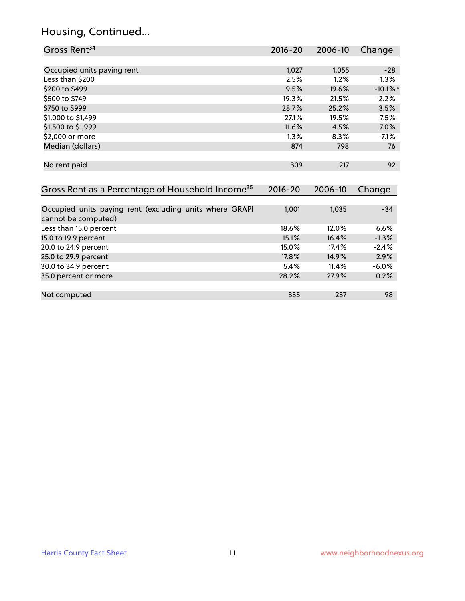## Housing, Continued...

| Gross Rent <sup>34</sup>                                                       | 2016-20     | 2006-10 | Change      |
|--------------------------------------------------------------------------------|-------------|---------|-------------|
|                                                                                |             |         |             |
| Occupied units paying rent                                                     | 1,027       | 1,055   | $-28$       |
| Less than \$200                                                                | 2.5%        | 1.2%    | 1.3%        |
| \$200 to \$499                                                                 | 9.5%        | 19.6%   | $-10.1\%$ * |
| \$500 to \$749                                                                 | 19.3%       | 21.5%   | $-2.2%$     |
| \$750 to \$999                                                                 | 28.7%       | 25.2%   | 3.5%        |
| \$1,000 to \$1,499                                                             | 27.1%       | 19.5%   | 7.5%        |
| \$1,500 to \$1,999                                                             | 11.6%       | 4.5%    | 7.0%        |
| \$2,000 or more                                                                | 1.3%        | 8.3%    | $-7.1%$     |
| Median (dollars)                                                               | 874         | 798     | 76          |
|                                                                                |             |         |             |
| No rent paid                                                                   | 309         | 217     | 92          |
|                                                                                |             |         |             |
| Gross Rent as a Percentage of Household Income <sup>35</sup>                   | $2016 - 20$ | 2006-10 | Change      |
|                                                                                |             |         |             |
| Occupied units paying rent (excluding units where GRAPI<br>cannot be computed) | 1,001       | 1,035   | $-34$       |
| Less than 15.0 percent                                                         | 18.6%       | 12.0%   | 6.6%        |
| 15.0 to 19.9 percent                                                           | 15.1%       | 16.4%   | $-1.3%$     |
| 20.0 to 24.9 percent                                                           | 15.0%       | 17.4%   | $-2.4%$     |
| 25.0 to 29.9 percent                                                           | 17.8%       | 14.9%   | $2.9\%$     |
| 30.0 to 34.9 percent                                                           | 5.4%        | 11.4%   | -6.0%       |
| 35.0 percent or more                                                           | 28.2%       | 27.9%   | 0.2%        |

| Not computed | $\sim$ $\sim$ $\sim$ | 22<br>20 | 98 |
|--------------|----------------------|----------|----|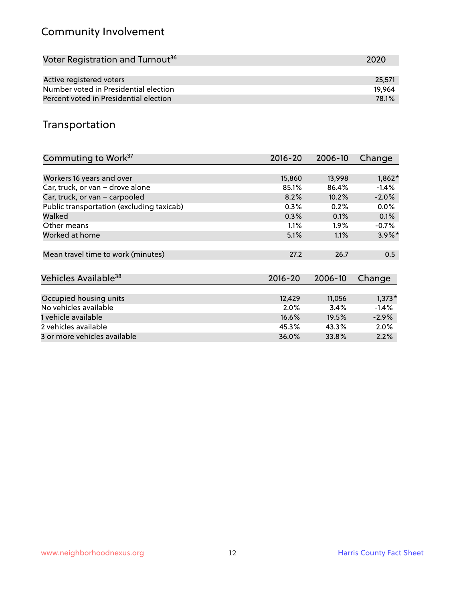## Community Involvement

| Voter Registration and Turnout <sup>36</sup> | 2020   |
|----------------------------------------------|--------|
|                                              |        |
| Active registered voters                     | 25,571 |
| Number voted in Presidential election        | 19.964 |
| Percent voted in Presidential election       | 78.1%  |

#### Transportation

| Commuting to Work <sup>37</sup>           | 2016-20     | 2006-10 | Change    |
|-------------------------------------------|-------------|---------|-----------|
|                                           |             |         |           |
| Workers 16 years and over                 | 15,860      | 13,998  | $1,862*$  |
| Car, truck, or van - drove alone          | 85.1%       | 86.4%   | $-1.4%$   |
| Car, truck, or van - carpooled            | 8.2%        | 10.2%   | $-2.0%$   |
| Public transportation (excluding taxicab) | 0.3%        | 0.2%    | 0.0%      |
| Walked                                    | 0.3%        | 0.1%    | 0.1%      |
| Other means                               | 1.1%        | $1.9\%$ | $-0.7%$   |
| Worked at home                            | 5.1%        | 1.1%    | $3.9\%$ * |
|                                           |             |         |           |
| Mean travel time to work (minutes)        | 27.2        | 26.7    | 0.5       |
|                                           |             |         |           |
| Vehicles Available <sup>38</sup>          | $2016 - 20$ | 2006-10 | Change    |
|                                           |             |         |           |
| Occupied housing units                    | 12,429      | 11,056  | $1,373*$  |
| No vehicles available                     | 2.0%        | 3.4%    | $-1.4%$   |
| 1 vehicle available                       | 16.6%       | 19.5%   | $-2.9%$   |
| 2 vehicles available                      | 45.3%       | 43.3%   | $2.0\%$   |
| 3 or more vehicles available              | 36.0%       | 33.8%   | 2.2%      |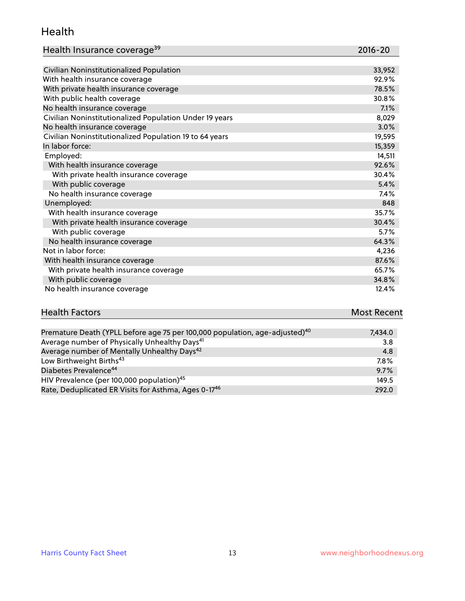#### Health

| Health Insurance coverage <sup>39</sup> | 2016-20 |
|-----------------------------------------|---------|
|-----------------------------------------|---------|

| Civilian Noninstitutionalized Population                | 33,952 |
|---------------------------------------------------------|--------|
| With health insurance coverage                          | 92.9%  |
| With private health insurance coverage                  | 78.5%  |
| With public health coverage                             | 30.8%  |
| No health insurance coverage                            | 7.1%   |
| Civilian Noninstitutionalized Population Under 19 years | 8,029  |
| No health insurance coverage                            | 3.0%   |
| Civilian Noninstitutionalized Population 19 to 64 years | 19,595 |
| In labor force:                                         | 15,359 |
| Employed:                                               | 14,511 |
| With health insurance coverage                          | 92.6%  |
| With private health insurance coverage                  | 30.4%  |
| With public coverage                                    | 5.4%   |
| No health insurance coverage                            | 7.4%   |
| Unemployed:                                             | 848    |
| With health insurance coverage                          | 35.7%  |
| With private health insurance coverage                  | 30.4%  |
| With public coverage                                    | 5.7%   |
| No health insurance coverage                            | 64.3%  |
| Not in labor force:                                     | 4,236  |
| With health insurance coverage                          | 87.6%  |
| With private health insurance coverage                  | 65.7%  |
| With public coverage                                    | 34.8%  |
| No health insurance coverage                            | 12.4%  |

# **Health Factors Most Recent** And The Control of the Control of The Control of The Control of The Control of The Control of The Control of The Control of The Control of The Control of The Control of The Control of The Contr

| Premature Death (YPLL before age 75 per 100,000 population, age-adjusted) <sup>40</sup> | 7,434.0 |
|-----------------------------------------------------------------------------------------|---------|
| Average number of Physically Unhealthy Days <sup>41</sup>                               | 3.8     |
| Average number of Mentally Unhealthy Days <sup>42</sup>                                 | 4.8     |
| Low Birthweight Births <sup>43</sup>                                                    | 7.8%    |
| Diabetes Prevalence <sup>44</sup>                                                       | 9.7%    |
| HIV Prevalence (per 100,000 population) <sup>45</sup>                                   | 149.5   |
| Rate, Deduplicated ER Visits for Asthma, Ages 0-17 <sup>46</sup>                        | 292.0   |